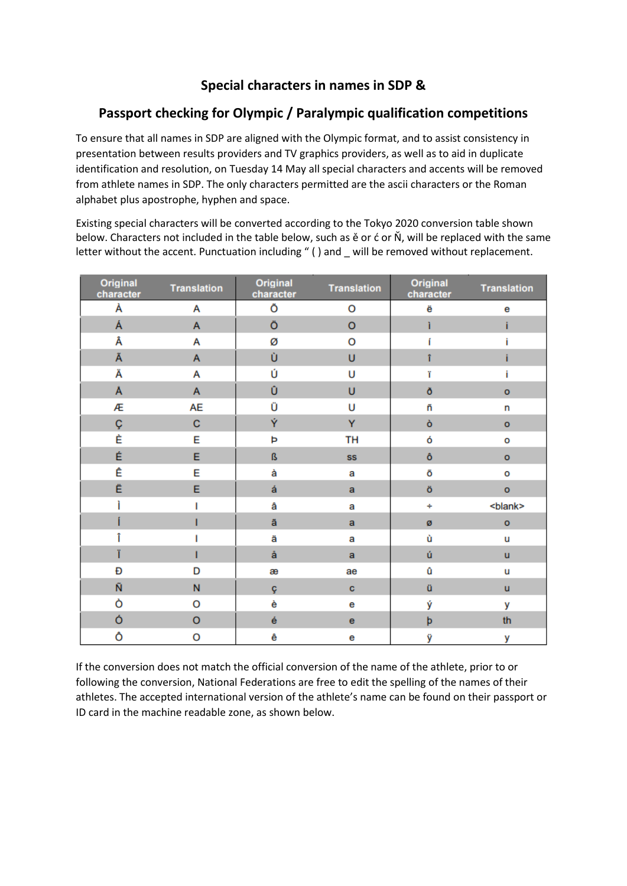## **Special characters in names in SDP &**

## **Passport checking for Olympic / Paralympic qualification competitions**

To ensure that all names in SDP are aligned with the Olympic format, and to assist consistency in presentation between results providers and TV graphics providers, as well as to aid in duplicate identification and resolution, on Tuesday 14 May all special characters and accents will be removed from athlete names in SDP. The only characters permitted are the ascii characters or the Roman alphabet plus apostrophe, hyphen and space.

Existing special characters will be converted according to the Tokyo 2020 conversion table shown below. Characters not included in the table below, such as ě or ć or Ň, will be replaced with the same letter without the accent. Punctuation including " ( ) and \_ will be removed without replacement.

| Original<br>character | <b>Translation</b> | Original<br>character | <b>Translation</b> | Original<br>character | <b>Translation</b> |
|-----------------------|--------------------|-----------------------|--------------------|-----------------------|--------------------|
| À                     | A                  | Õ                     | o                  | ë                     | е                  |
| Á                     | A                  | Ő                     | $\circ$            | Ĭ.                    |                    |
| Â                     | Α                  | ø                     | o                  | í                     |                    |
| Ã                     | A                  | Ù                     | Ù                  | î                     |                    |
| Ä                     | A                  | Ú                     | U                  | Ï                     | i                  |
| Å                     | A                  | Û                     | Ù                  | ð                     | $\circ$            |
| Æ                     | AE                 | Ű                     | U                  | ñ                     | n                  |
| Ç                     | C                  | Ý                     | Ÿ                  | ò                     | $\mathbf{o}$       |
| È                     | E                  | Þ                     | TН                 | Ó                     | o                  |
| É                     | E                  | ß                     | <b>SS</b>          | ô                     | $\circ$            |
| Ê                     | E                  | à                     | a                  | õ                     | O                  |
| Ë                     | E                  | á                     | a                  | Ö                     | $\circ$            |
|                       |                    | â                     | a                  | ÷                     | <blank></blank>    |
|                       |                    | ã                     | a                  | ø                     | $\mathbf{o}$       |
|                       |                    | ä                     | a                  | ù                     | u                  |
| Ï                     | г                  | å                     | a                  | ú                     | ū                  |
| Đ                     | D                  | æ                     | ae                 | û                     | u                  |
| Ñ                     | N                  | ç                     | c                  | ü                     | ū                  |
| Ò                     | O                  | è                     | е                  | ý                     | y                  |
| Ó                     | $\circ$            | é                     | e                  | þ                     | th                 |
| Ô                     | O                  | ê                     | е                  | ÿ                     | y                  |

If the conversion does not match the official conversion of the name of the athlete, prior to or following the conversion, National Federations are free to edit the spelling of the names of their athletes. The accepted international version of the athlete's name can be found on their passport or ID card in the machine readable zone, as shown below.